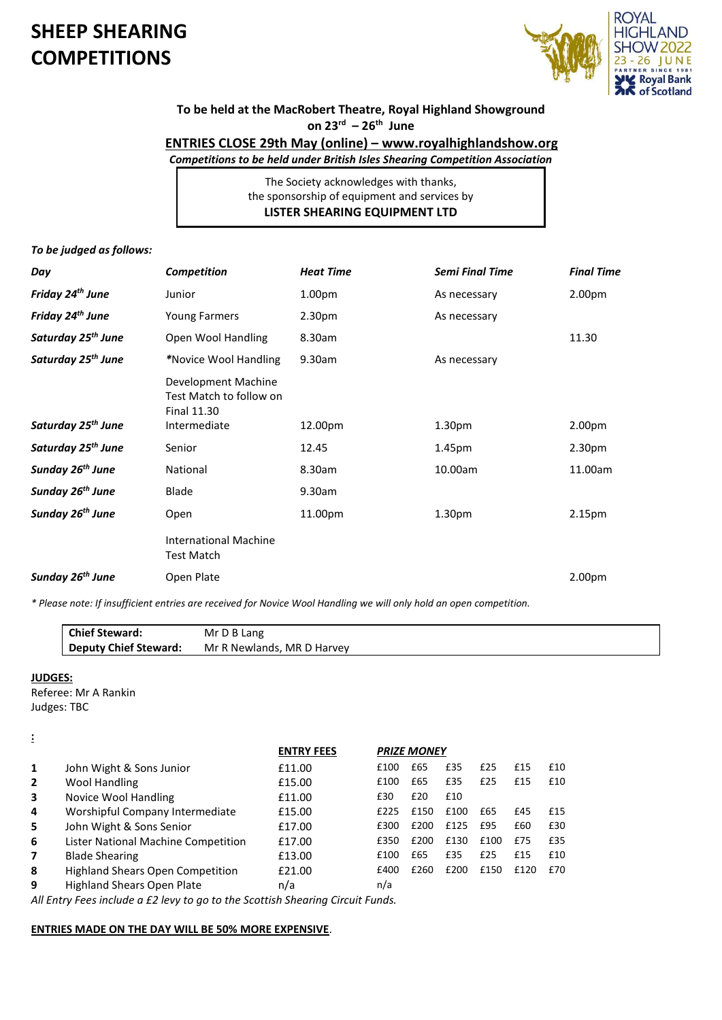# **SHEEP SHEARING COMPETITIONS**





## **To be held at the MacRobert Theatre, Royal Highland Showground on 23rd – 26 th June**

**ENTRIES CLOSE 29th May (online) – www.royalhighlandshow.org** *Competitions to be held under British Isles Shearing Competition Association*

> The Society acknowledges with thanks, the sponsorship of equipment and services by **LISTER SHEARING EQUIPMENT LTD**

#### *To be judged as follows:*

| Day                            | <b>Competition</b>                                                                   | <b>Heat Time</b>   | <b>Semi Final Time</b> | <b>Final Time</b>  |
|--------------------------------|--------------------------------------------------------------------------------------|--------------------|------------------------|--------------------|
| Friday 24 <sup>th</sup> June   | Junior                                                                               | 1.00 <sub>pm</sub> | As necessary           | 2.00pm             |
| Friday 24 <sup>th</sup> June   | <b>Young Farmers</b>                                                                 | 2.30pm             | As necessary           |                    |
| Saturday 25 <sup>th</sup> June | Open Wool Handling                                                                   | 8.30am             |                        | 11.30              |
| Saturday 25 <sup>th</sup> June | *Novice Wool Handling                                                                | 9.30am             | As necessary           |                    |
| Saturday 25 <sup>th</sup> June | Development Machine<br>Test Match to follow on<br><b>Final 11.30</b><br>Intermediate | 12.00pm            | 1.30 <sub>pm</sub>     | 2.00 <sub>pm</sub> |
| Saturday 25 <sup>th</sup> June | Senior                                                                               | 12.45              | 1.45pm                 | 2.30 <sub>pm</sub> |
| Sunday 26 <sup>th</sup> June   | National                                                                             | 8.30am             | 10.00am                | 11.00am            |
| Sunday 26 <sup>th</sup> June   | Blade                                                                                | 9.30am             |                        |                    |
| Sunday 26 <sup>th</sup> June   | Open                                                                                 | 11.00pm            | 1.30 <sub>pm</sub>     | 2.15pm             |
|                                | <b>International Machine</b><br><b>Test Match</b>                                    |                    |                        |                    |
| Sunday 26 <sup>th</sup> June   | Open Plate                                                                           |                    |                        | 2.00 <sub>pm</sub> |

*\* Please note: If insufficient entries are received for Novice Wool Handling we will only hold an open competition.*

| <b>Chief Steward:</b> | Mr D B Lang                |
|-----------------------|----------------------------|
| Deputy Chief Steward: | Mr R Newlands, MR D Harvey |

#### **JUDGES:**

Referee: Mr A Rankin Judges: TBC

**:**

|    |                                         | <b>ENTRY FEES</b> |      | <b>PRIZE MONEY</b> |      |      |      |     |  |
|----|-----------------------------------------|-------------------|------|--------------------|------|------|------|-----|--|
| 1  | John Wight & Sons Junior                | £11.00            | £100 | £65                | £35  | £25  | £15  | £10 |  |
| 2  | <b>Wool Handling</b>                    | £15.00            | £100 | £65                | £35  | £25  | £15  | £10 |  |
| 3  | Novice Wool Handling                    | £11.00            | £30  | £20                | £10  |      |      |     |  |
| 4  | Worshipful Company Intermediate         | £15.00            | £225 | £150               | £100 | £65  | £45  | £15 |  |
| 5. | John Wight & Sons Senior                | £17.00            | £300 | £200               | £125 | £95  | £60  | £30 |  |
| 6  | Lister National Machine Competition     | £17.00            | £350 | £200               | £130 | £100 | £75  | £35 |  |
| 7  | <b>Blade Shearing</b>                   | £13.00            | £100 | £65                | £35  | £25  | £15  | £10 |  |
| 8  | <b>Highland Shears Open Competition</b> | £21.00            | £400 | £260               | £200 | £150 | £120 | f70 |  |
| 9  | <b>Highland Shears Open Plate</b>       | n/a               | n/a  |                    |      |      |      |     |  |
|    |                                         |                   |      |                    |      |      |      |     |  |

*All Entry Fees include a £2 levy to go to the Scottish Shearing Circuit Funds.*

#### **ENTRIES MADE ON THE DAY WILL BE 50% MORE EXPENSIVE**.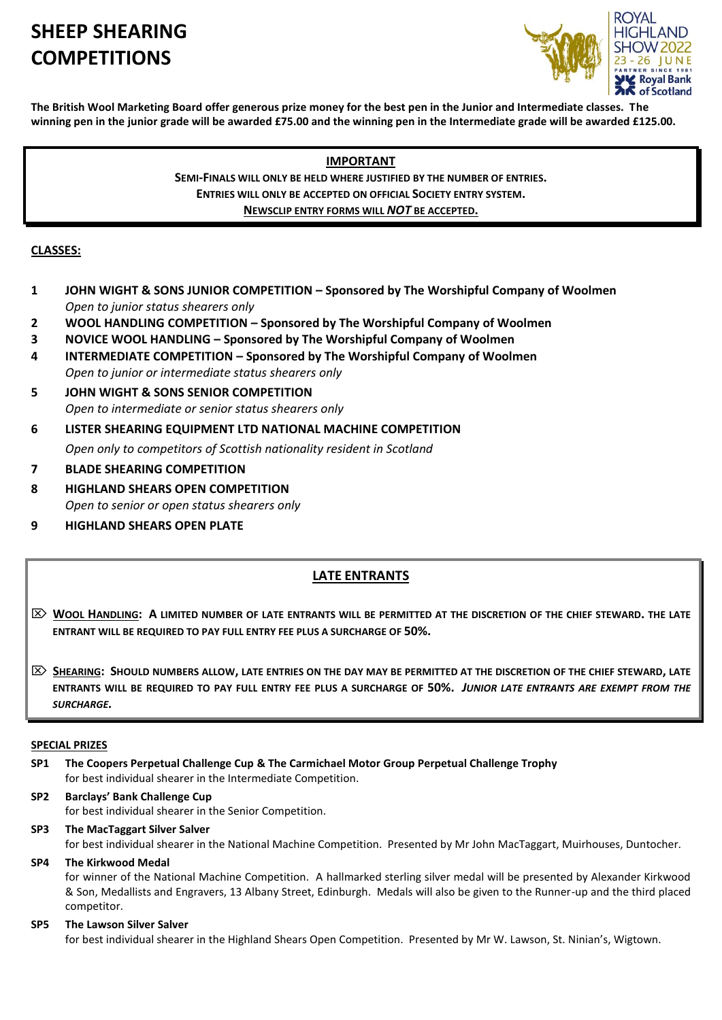## **SHEEP SHEARING COMPETITIONS**



**The British Wool Marketing Board offer generous prize money for the best pen in the Junior and Intermediate classes. The winning pen in the junior grade will be awarded £75.00 and the winning pen in the Intermediate grade will be awarded £125.00.**

#### **IMPORTANT**

**SEMI-FINALS WILL ONLY BE HELD WHERE JUSTIFIED BY THE NUMBER OF ENTRIES. ENTRIES WILL ONLY BE ACCEPTED ON OFFICIAL SOCIETY ENTRY SYSTEM. NEWSCLIP ENTRY FORMS WILL** *NOT* **BE ACCEPTED.**

#### **CLASSES:**

- **1 JOHN WIGHT & SONS JUNIOR COMPETITION – Sponsored by The Worshipful Company of Woolmen** *Open to junior status shearers only*
- **2 WOOL HANDLING COMPETITION – Sponsored by The Worshipful Company of Woolmen**
- **3 NOVICE WOOL HANDLING – Sponsored by The Worshipful Company of Woolmen**
- **4 INTERMEDIATE COMPETITION – Sponsored by The Worshipful Company of Woolmen** *Open to junior or intermediate status shearers only*
- **5 JOHN WIGHT & SONS SENIOR COMPETITION** *Open to intermediate or senior status shearers only*
- **6 LISTER SHEARING EQUIPMENT LTD NATIONAL MACHINE COMPETITION** *Open only to competitors of Scottish nationality resident in Scotland*
- **7 BLADE SHEARING COMPETITION**
- **8 HIGHLAND SHEARS OPEN COMPETITION** *Open to senior or open status shearers only*
- **9 HIGHLAND SHEARS OPEN PLATE**

#### **LATE ENTRANTS**

- **WOOL HANDLING: A LIMITED NUMBER OF LATE ENTRANTS WILL BE PERMITTED AT THE DISCRETION OF THE CHIEF STEWARD. THE LATE ENTRANT WILL BE REQUIRED TO PAY FULL ENTRY FEE PLUS A SURCHARGE OF 50%.**
- **SHEARING: SHOULD NUMBERS ALLOW, LATE ENTRIES ON THE DAY MAY BE PERMITTED AT THE DISCRETION OF THE CHIEF STEWARD, LATE ENTRANTS WILL BE REQUIRED TO PAY FULL ENTRY FEE PLUS A SURCHARGE OF 50%.** *JUNIOR LATE ENTRANTS ARE EXEMPT FROM THE SURCHARGE.*

#### **SPECIAL PRIZES**

- **SP1 The Coopers Perpetual Challenge Cup & The Carmichael Motor Group Perpetual Challenge Trophy** for best individual shearer in the Intermediate Competition.
- **SP2 Barclays' Bank Challenge Cup** for best individual shearer in the Senior Competition.
- **SP3 The MacTaggart Silver Salver** for best individual shearer in the National Machine Competition. Presented by Mr John MacTaggart, Muirhouses, Duntocher.

#### **SP4 The Kirkwood Medal**

for winner of the National Machine Competition. A hallmarked sterling silver medal will be presented by Alexander Kirkwood & Son, Medallists and Engravers, 13 Albany Street, Edinburgh. Medals will also be given to the Runner-up and the third placed competitor.

#### **SP5 The Lawson Silver Salver**

for best individual shearer in the Highland Shears Open Competition. Presented by Mr W. Lawson, St. Ninian's, Wigtown.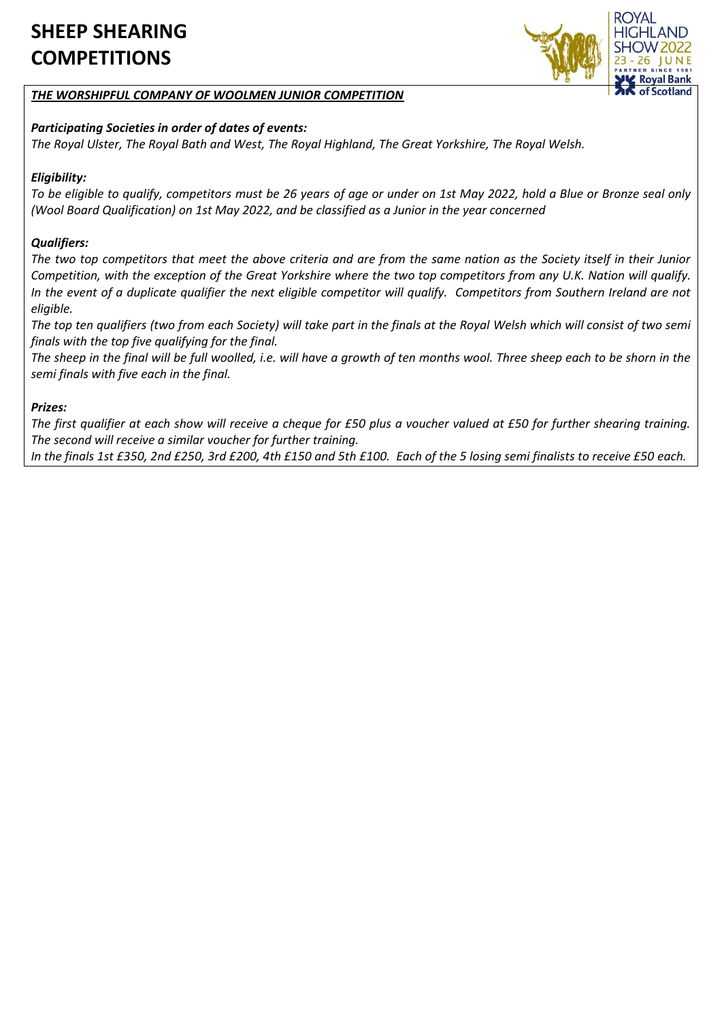

## *THE WORSHIPFUL COMPANY OF WOOLMEN JUNIOR COMPETITION*

## *Participating Societies in order of dates of events:*

*The Royal Ulster, The Royal Bath and West, The Royal Highland, The Great Yorkshire, The Royal Welsh.*

## *Eligibility:*

*To be eligible to qualify, competitors must be 26 years of age or under on 1st May 2022, hold a Blue or Bronze seal only (Wool Board Qualification) on 1st May 2022, and be classified as a Junior in the year concerned*

### *Qualifiers:*

*The two top competitors that meet the above criteria and are from the same nation as the Society itself in their Junior Competition, with the exception of the Great Yorkshire where the two top competitors from any U.K. Nation will qualify. In the event of a duplicate qualifier the next eligible competitor will qualify. Competitors from Southern Ireland are not eligible.*

*The top ten qualifiers (two from each Society) will take part in the finals at the Royal Welsh which will consist of two semi finals with the top five qualifying for the final.*

*The sheep in the final will be full woolled, i.e. will have a growth of ten months wool. Three sheep each to be shorn in the semi finals with five each in the final.*

### *Prizes:*

*The first qualifier at each show will receive a cheque for £50 plus a voucher valued at £50 for further shearing training. The second will receive a similar voucher for further training.*

*In the finals 1st £350, 2nd £250, 3rd £200, 4th £150 and 5th £100. Each of the 5 losing semi finalists to receive £50 each.*